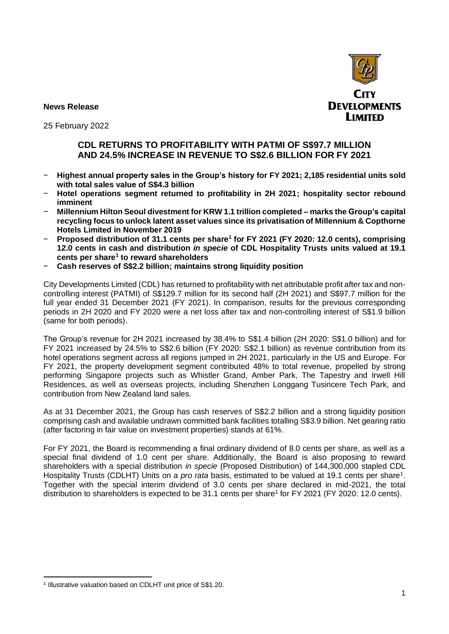

**News Release**

25 February 2022

# **CDL RETURNS TO PROFITABILITY WITH PATMI OF S\$97.7 MILLION AND 24.5% INCREASE IN REVENUE TO S\$2.6 BILLION FOR FY 2021**

- − **Highest annual property sales in the Group's history for FY 2021; 2,185 residential units sold with total sales value of S\$4.3 billion**
- − **Hotel operations segment returned to profitability in 2H 2021; hospitality sector rebound imminent**
- − **Millennium Hilton Seoul divestment for KRW 1.1 trillion completed – marks the Group's capital recycling focus to unlock latent asset values since its privatisation of Millennium & Copthorne Hotels Limited in November 2019**
- − **Proposed distribution of 31.1 cents per share<sup>1</sup> for FY 2021 (FY 2020: 12.0 cents), comprising 12.0 cents in cash and distribution** *in specie* **of CDL Hospitality Trusts units valued at 19.1 cents per share<sup>1</sup> to reward shareholders**
- − **Cash reserves of S\$2.2 billion; maintains strong liquidity position**

City Developments Limited (CDL) has returned to profitability with net attributable profit after tax and noncontrolling interest (PATMI) of S\$129.7 million for its second half (2H 2021) and S\$97.7 million for the full year ended 31 December 2021 (FY 2021). In comparison, results for the previous corresponding periods in 2H 2020 and FY 2020 were a net loss after tax and non-controlling interest of S\$1.9 billion (same for both periods).

The Group's revenue for 2H 2021 increased by 38.4% to S\$1.4 billion (2H 2020: S\$1.0 billion) and for FY 2021 increased by 24.5% to S\$2.6 billion (FY 2020: S\$2.1 billion) as revenue contribution from its hotel operations segment across all regions jumped in 2H 2021, particularly in the US and Europe. For FY 2021, the property development segment contributed 48% to total revenue, propelled by strong performing Singapore projects such as Whistler Grand, Amber Park, The Tapestry and Irwell Hill Residences, as well as overseas projects, including Shenzhen Longgang Tusincere Tech Park, and contribution from New Zealand land sales.

As at 31 December 2021, the Group has cash reserves of S\$2.2 billion and a strong liquidity position comprising cash and available undrawn committed bank facilities totalling S\$3.9 billion. Net gearing ratio (after factoring in fair value on investment properties) stands at 61%.

For FY 2021, the Board is recommending a final ordinary dividend of 8.0 cents per share, as well as a special final dividend of 1.0 cent per share. Additionally, the Board is also proposing to reward shareholders with a special distribution *in specie* (Proposed Distribution) of 144,300,000 stapled CDL Hospitality Trusts (CDLHT) Units on a *pro rata* basis, estimated to be valued at 19.1 cents per share<sup>1</sup>. Together with the special interim dividend of 3.0 cents per share declared in mid-2021, the total distribution to shareholders is expected to be 31.1 cents per share<sup>1</sup> for FY 2021 (FY 2020: 12.0 cents).

<sup>&</sup>lt;sup>1</sup> Illustrative valuation based on CDLHT unit price of S\$1.20.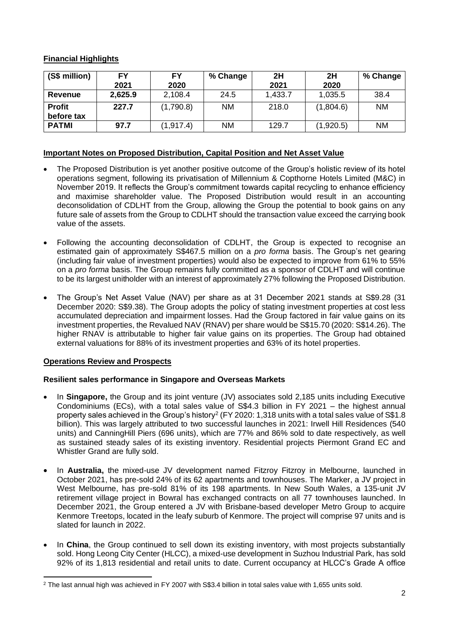# **Financial Highlights**

| (S\$ million)               | FY<br>2021 | FY<br>2020 | % Change  | 2H<br>2021 | 2H<br>2020 | % Change  |
|-----------------------------|------------|------------|-----------|------------|------------|-----------|
| Revenue                     | 2,625.9    | 2,108.4    | 24.5      | 1,433.7    | 1,035.5    | 38.4      |
| <b>Profit</b><br>before tax | 227.7      | (1,790.8)  | <b>NM</b> | 218.0      | (1,804.6)  | <b>NM</b> |
| <b>PATMI</b>                | 97.7       | (1, 917.4) | <b>NM</b> | 129.7      | (1,920.5)  | ΝM        |

### **Important Notes on Proposed Distribution, Capital Position and Net Asset Value**

- The Proposed Distribution is yet another positive outcome of the Group's holistic review of its hotel operations segment, following its privatisation of Millennium & Copthorne Hotels Limited (M&C) in November 2019. It reflects the Group's commitment towards capital recycling to enhance efficiency and maximise shareholder value. The Proposed Distribution would result in an accounting deconsolidation of CDLHT from the Group, allowing the Group the potential to book gains on any future sale of assets from the Group to CDLHT should the transaction value exceed the carrying book value of the assets.
- Following the accounting deconsolidation of CDLHT, the Group is expected to recognise an estimated gain of approximately S\$467.5 million on a *pro forma* basis. The Group's net gearing (including fair value of investment properties) would also be expected to improve from 61% to 55% on a *pro forma* basis. The Group remains fully committed as a sponsor of CDLHT and will continue to be its largest unitholder with an interest of approximately 27% following the Proposed Distribution.
- The Group's Net Asset Value (NAV) per share as at 31 December 2021 stands at S\$9.28 (31 December 2020: S\$9.38). The Group adopts the policy of stating investment properties at cost less accumulated depreciation and impairment losses. Had the Group factored in fair value gains on its investment properties, the Revalued NAV (RNAV) per share would be S\$15.70 (2020: S\$14.26). The higher RNAV is attributable to higher fair value gains on its properties. The Group had obtained external valuations for 88% of its investment properties and 63% of its hotel properties.

# **Operations Review and Prospects**

# **Resilient sales performance in Singapore and Overseas Markets**

- In **Singapore,** the Group and its joint venture (JV) associates sold 2,185 units including Executive Condominiums (ECs), with a total sales value of S\$4.3 billion in FY 2021 – the highest annual property sales achieved in the Group's history<sup>2</sup> (FY 2020: 1,318 units with a total sales value of S\$1.8 billion). This was largely attributed to two successful launches in 2021: Irwell Hill Residences (540 units) and CanningHill Piers (696 units), which are 77% and 86% sold to date respectively, as well as sustained steady sales of its existing inventory. Residential projects Piermont Grand EC and Whistler Grand are fully sold.
- In **Australia,** the mixed-use JV development named Fitzroy Fitzroy in Melbourne, launched in October 2021, has pre-sold 24% of its 62 apartments and townhouses. The Marker, a JV project in West Melbourne, has pre-sold 81% of its 198 apartments. In New South Wales, a 135-unit JV retirement village project in Bowral has exchanged contracts on all 77 townhouses launched. In December 2021, the Group entered a JV with Brisbane-based developer Metro Group to acquire Kenmore Treetops, located in the leafy suburb of Kenmore. The project will comprise 97 units and is slated for launch in 2022.
- In **China**, the Group continued to sell down its existing inventory, with most projects substantially sold. Hong Leong City Center (HLCC), a mixed-use development in Suzhou Industrial Park, has sold 92% of its 1,813 residential and retail units to date. Current occupancy at HLCC's Grade A office

<sup>&</sup>lt;sup>2</sup> The last annual high was achieved in FY 2007 with S\$3.4 billion in total sales value with 1,655 units sold.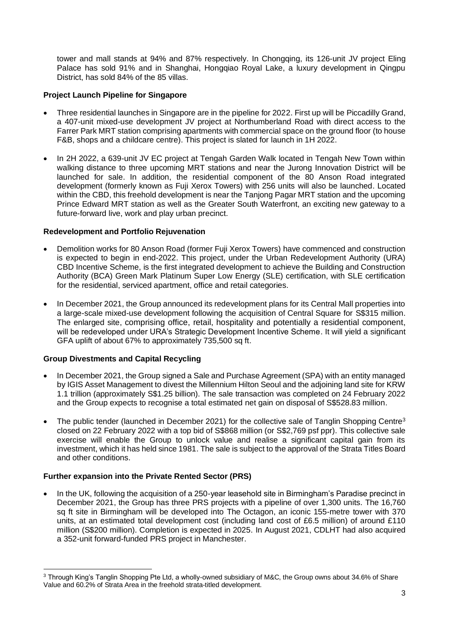tower and mall stands at 94% and 87% respectively. In Chongqing, its 126-unit JV project Eling Palace has sold 91% and in Shanghai, Hongqiao Royal Lake, a luxury development in Qingpu District, has sold 84% of the 85 villas.

### **Project Launch Pipeline for Singapore**

- Three residential launches in Singapore are in the pipeline for 2022. First up will be Piccadilly Grand, a 407-unit mixed-use development JV project at Northumberland Road with direct access to the Farrer Park MRT station comprising apartments with commercial space on the ground floor (to house F&B, shops and a childcare centre). This project is slated for launch in 1H 2022.
- In 2H 2022, a 639-unit JV EC project at Tengah Garden Walk located in Tengah New Town within walking distance to three upcoming MRT stations and near the Jurong Innovation District will be launched for sale. In addition, the residential component of the 80 Anson Road integrated development (formerly known as Fuji Xerox Towers) with 256 units will also be launched. Located within the CBD, this freehold development is near the Tanjong Pagar MRT station and the upcoming Prince Edward MRT station as well as the Greater South Waterfront, an exciting new gateway to a future-forward live, work and play urban precinct.

# **Redevelopment and Portfolio Rejuvenation**

- Demolition works for 80 Anson Road (former Fuji Xerox Towers) have commenced and construction is expected to begin in end-2022. This project, under the Urban Redevelopment Authority (URA) CBD Incentive Scheme, is the first integrated development to achieve the Building and Construction Authority (BCA) Green Mark Platinum Super Low Energy (SLE) certification, with SLE certification for the residential, serviced apartment, office and retail categories.
- In December 2021, the Group announced its redevelopment plans for its Central Mall properties into a large-scale mixed-use development following the acquisition of Central Square for S\$315 million. The enlarged site, comprising office, retail, hospitality and potentially a residential component, will be redeveloped under URA's Strategic Development Incentive Scheme. It will yield a significant GFA uplift of about 67% to approximately 735,500 sq ft.

# **Group Divestments and Capital Recycling**

- In December 2021, the Group signed a Sale and Purchase Agreement (SPA) with an entity managed by IGIS Asset Management to divest the Millennium Hilton Seoul and the adjoining land site for KRW 1.1 trillion (approximately S\$1.25 billion). The sale transaction was completed on 24 February 2022 and the Group expects to recognise a total estimated net gain on disposal of S\$528.83 million.
- The public tender (launched in December 2021) for the collective sale of Tanglin Shopping Centre<sup>3</sup> closed on 22 February 2022 with a top bid of S\$868 million (or S\$2,769 psf ppr). This collective sale exercise will enable the Group to unlock value and realise a significant capital gain from its investment, which it has held since 1981. The sale is subject to the approval of the Strata Titles Board and other conditions.

# **Further expansion into the Private Rented Sector (PRS)**

• In the UK, following the acquisition of a 250-year leasehold site in Birmingham's Paradise precinct in December 2021, the Group has three PRS projects with a pipeline of over 1,300 units. The 16,760 sq ft site in Birmingham will be developed into The Octagon, an iconic 155-metre tower with 370 units, at an estimated total development cost (including land cost of £6.5 million) of around £110 million (S\$200 million). Completion is expected in 2025. In August 2021, CDLHT had also acquired a 352-unit forward-funded PRS project in Manchester.

<sup>3</sup> Through King's Tanglin Shopping Pte Ltd, a wholly-owned subsidiary of M&C, the Group owns about 34.6% of Share Value and 60.2% of Strata Area in the freehold strata-titled development.